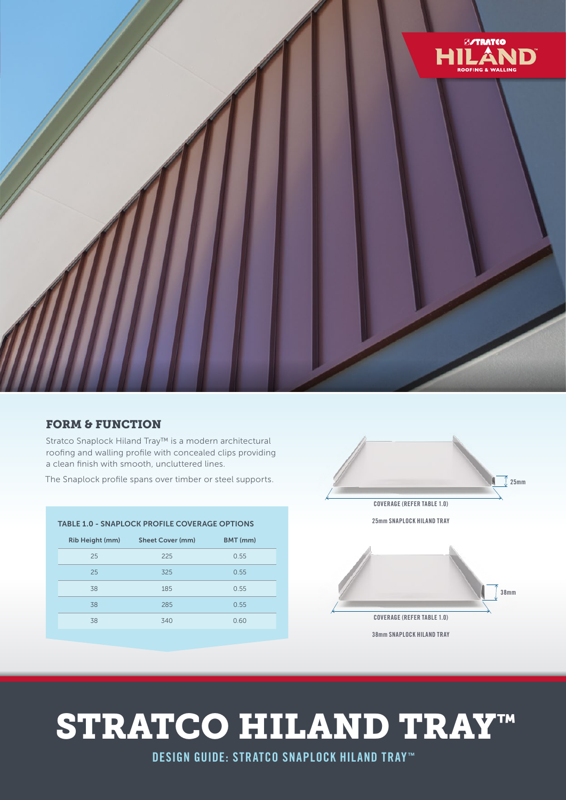

#### FORM & FUNCTION

Stratco Snaplock Hiland Tray™ is a modern architectural roofing and walling profile with concealed clips providing a clean finish with smooth, uncluttered lines.

The Snaplock profile spans over timber or steel supports.



# STRATCO HILAND TRAY™

DESIGN GUIDE: STRATCO SNAPLOCK HILAND TRAY™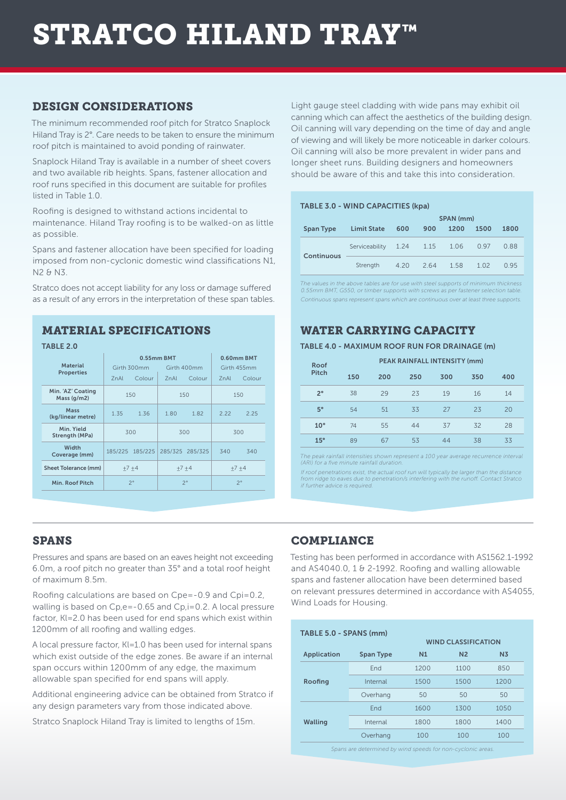# STRATCO HILAND TRAY™

#### DESIGN CONSIDERATIONS

The minimum recommended roof pitch for Stratco Snaplock Hiland Tray is 2°. Care needs to be taken to ensure the minimum roof pitch is maintained to avoid ponding of rainwater.

Snaplock Hiland Tray is available in a number of sheet covers and two available rib heights. Spans, fastener allocation and roof runs specified in this document are suitable for profiles listed in Table 1.0.

Roofing is designed to withstand actions incidental to maintenance. Hiland Tray roofing is to be walked-on as little as possible.

Spans and fastener allocation have been specified for loading imposed from non-cyclonic domestic wind classifications N1, N2 & N3.

Stratco does not accept liability for any loss or damage suffered as a result of any errors in the interpretation of these span tables.

#### MATERIAL SPECIFICATIONS

| TABLE 2.0                          |                                          |                 |             |                           |                  |        |
|------------------------------------|------------------------------------------|-----------------|-------------|---------------------------|------------------|--------|
| <b>Material</b>                    | 0.55mm BMT<br>Girth 300mm<br>Girth 400mm |                 |             | 0.60mm BMT<br>Girth 455mm |                  |        |
| <b>Properties</b>                  | 7 <sub>n</sub> Al                        | Colour          | 7nAI        | Colour                    | 7 <sub>nAl</sub> | Colour |
| Min. 'AZ' Coating<br>Mass $(q/m2)$ | 150                                      |                 | 150         |                           | 150              |        |
| Mass<br>(kg/linear metre)          | 1.35                                     | 1.36            | 1.80        | 1.82                      | 2.22             | 2.25   |
| Min Yield<br>Strength (MPa)        | 300                                      |                 | 300         |                           | 300              |        |
| Width<br>Coverage (mm)             |                                          | 185/225 185/225 |             | 285/325 285/325           | 340              | 340    |
| <b>Sheet Tolerance (mm)</b>        | $+7+4$                                   |                 | $+7+4$      |                           | $+7 +4$          |        |
| Min. Roof Pitch                    | $2^{\circ}$                              |                 | $2^{\circ}$ |                           | $2^{\circ}$      |        |

Light gauge steel cladding with wide pans may exhibit oil canning which can affect the aesthetics of the building design. Oil canning will vary depending on the time of day and angle of viewing and will likely be more noticeable in darker colours. Oil canning will also be more prevalent in wider pans and longer sheet runs. Building designers and homeowners should be aware of this and take this into consideration.

#### TABLE 3.0 - WIND CAPACITIES (kpa)

|                  |                     | SPAN (mm) |      |      |      |      |
|------------------|---------------------|-----------|------|------|------|------|
| <b>Span Type</b> | <b>Limit State</b>  | 600       | 900  | 1200 | 1500 | 1800 |
| Continuous       | Serviceability 1.24 |           | 1.15 | 1.06 | 0.97 | 0.88 |
|                  | Strength            | 4.20      | 264  | 1.58 | 1.02 | O 95 |

*The values in the above tables are for use with steel supports of minimum thickness 0.55mm BMT, G550, or timber supports with screws as per fastener selection table. Continuous spans represent spans which are continuous over at least three supports.*

## WATER CARRYING CAPACITY

#### TABLE 4.0 - MAXIMUM ROOF RUN FOR DRAINAGE (m)

| Roof         |     |     | PEAK RAINFALL INTENSITY (mm) |     |     |     |  |
|--------------|-----|-----|------------------------------|-----|-----|-----|--|
| <b>Pitch</b> | 150 | 200 | 250                          | 300 | 350 | 400 |  |
| $2^{\circ}$  | 38  | 29  | 23                           | 19  | 16  | 14  |  |
| $5^\circ$    | 54  | 51  | 33                           | 27  | 23  | 20  |  |
| $10^{\circ}$ | 74  | 55  | 44                           | 37  | 32  | 28  |  |
| $15^{\circ}$ | 89  | 67  | 53                           | 44  | 38  | 33  |  |

*The peak rainfall intensities shown represent a 100 year average recurrence interval (ARI) for a five minute rainfall duration*.

lf roof penetrations exist, the actual roof run will typically be larger than the distance<br>from ridge to eaves due to penetration/s interfering with the runoff. Contact Stratco<br>if further advice is required.

### SPANS

Pressures and spans are based on an eaves height not exceeding 6.0m, a roof pitch no greater than 35° and a total roof height of maximum 8.5m.

Roofing calculations are based on Cpe=-0.9 and Cpi=0.2, walling is based on Cp,e=-0.65 and Cp,i=0.2. A local pressure factor, Kl=2.0 has been used for end spans which exist within 1200mm of all roofing and walling edges.

A local pressure factor, Kl=1.0 has been used for internal spans which exist outside of the edge zones. Be aware if an internal span occurs within 1200mm of any edge, the maximum allowable span specified for end spans will apply.

Additional engineering advice can be obtained from Stratco if any design parameters vary from those indicated above.

Stratco Snaplock Hiland Tray is limited to lengths of 15m.

### **COMPLIANCE**

Testing has been performed in accordance with AS1562.1-1992 and  $AS4040.0$ , 1 & 2-1992. Roofing and walling allowable spans and fastener allocation have been determined based on relevant pressures determined in accordance with AS4055, Wind Loads for Housing.

| TABLE 5.0 - SPANS (mm) |                  | <b>WIND CLASSIFICATION</b> |                |                |  |
|------------------------|------------------|----------------------------|----------------|----------------|--|
| Application            | <b>Span Type</b> | N1                         | N <sub>2</sub> | N <sub>3</sub> |  |
| Roofing                | End              | 1200                       | 1100           | 850            |  |
|                        | Internal         | 1500                       | 1500           | 1200           |  |
|                        | Overhang         | 50                         | 50             | 50             |  |
| <b>Walling</b>         | End              | 1600                       | 1300           | 1050           |  |
|                        | Internal         | 1800                       | 1800           | 1400           |  |
|                        | Overhang         | 100                        | 100            | 100            |  |

*Spans are determined by wind speeds for non-cyclonic areas.*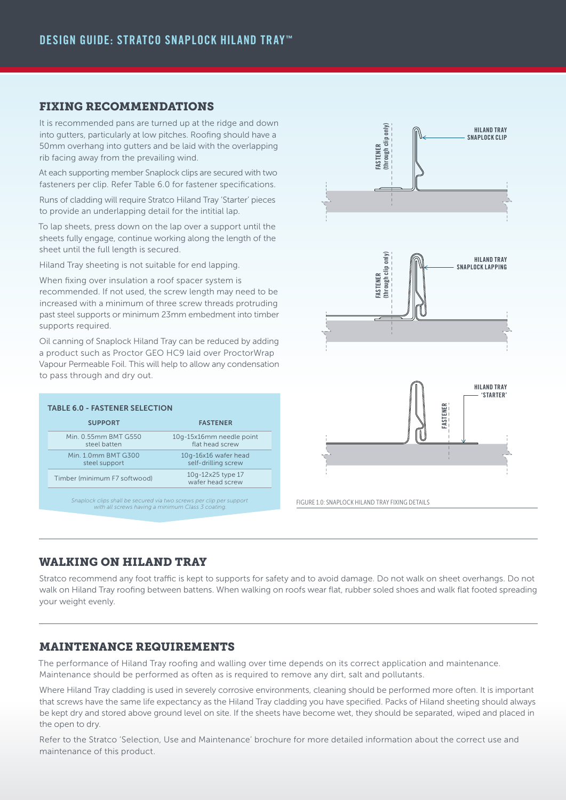#### FIXING RECOMMENDATIONS

It is recommended pans are turned up at the ridge and down into gutters, particularly at low pitches. Roofing should have a 50mm overhang into gutters and be laid with the overlapping rib facing away from the prevailing wind.

At each supporting member Snaplock clips are secured with two fasteners per clip. Refer Table 6.0 for fastener specifications.

Runs of cladding will require Stratco Hiland Tray 'Starter' pieces to provide an underlapping detail for the intitial lap.

To lap sheets, press down on the lap over a support until the sheets fully engage, continue working along the length of the sheet until the full length is secured.

Hiland Tray sheeting is not suitable for end lapping.

When fixing over insulation a roof spacer system is recommended. If not used, the screw length may need to be increased with a minimum of three screw threads protruding past steel supports or minimum 23mm embedment into timber supports required.

Oil canning of Snaplock Hiland Tray can be reduced by adding a product such as Proctor GEO HC9 laid over ProctorWrap Vapour Permeable Foil. This will help to allow any condensation to pass through and dry out.

| <b>TABLE 6.0 - FASTENER SELECTION</b>                                                                                    |                                             |  |  |  |
|--------------------------------------------------------------------------------------------------------------------------|---------------------------------------------|--|--|--|
| <b>SUPPORT</b>                                                                                                           | <b>FASTENER</b>                             |  |  |  |
| Min. 0.55mm BMT G550<br>steel batten                                                                                     | 10g-15x16mm needle point<br>flat head screw |  |  |  |
| Min. 1.0mm BMT G300<br>steel support                                                                                     | 10g-16x16 wafer head<br>self-drilling screw |  |  |  |
| Timber (minimum F7 softwood)                                                                                             | 10g-12x25 type 17<br>wafer head screw       |  |  |  |
| Snaplock clips shall be secured via two screws per clip per support<br>with all screws having a minimum Class 3 coating. |                                             |  |  |  |



FIGURE 1.0: SNAPLOCK HILAND TRAY FIXING DETAILS

#### WALKING ON HILAND TRAY

Stratco recommend any foot traffic is kept to supports for safety and to avoid damage. Do not walk on sheet overhangs. Do not walk on Hiland Tray roofing between battens. When walking on roofs wear flat, rubber soled shoes and walk flat footed spreading your weight evenly.

#### MAINTENANCE REQUIREMENTS

The performance of Hiland Tray roofing and walling over time depends on its correct application and maintenance. Maintenance should be performed as often as is required to remove any dirt, salt and pollutants.

Where Hiland Tray cladding is used in severely corrosive environments, cleaning should be performed more often. It is important that screws have the same life expectancy as the Hiland Tray cladding you have specified. Packs of Hiland sheeting should always be kept dry and stored above ground level on site. If the sheets have become wet, they should be separated, wiped and placed in the open to dry.

Refer to the Stratco 'Selection, Use and Maintenance' brochure for more detailed information about the correct use and maintenance of this product.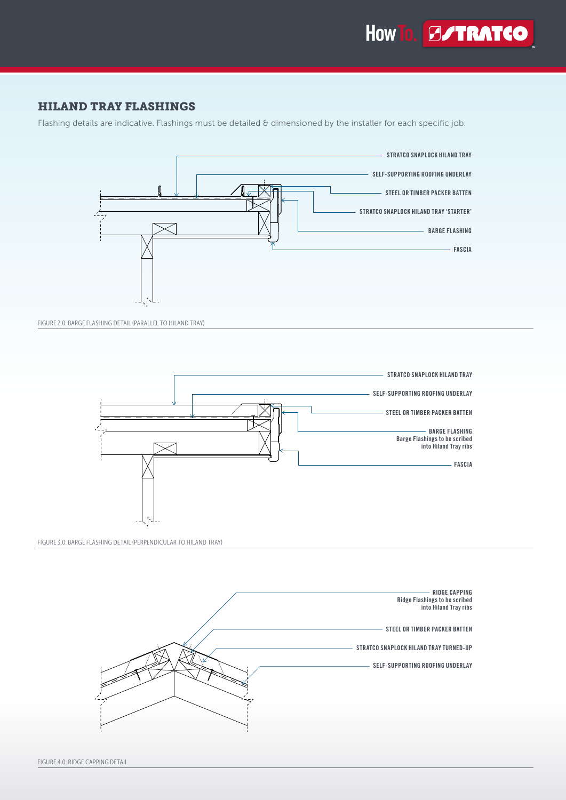

#### HILAND TRAY FLASHINGS

Flashing details are indicative. Flashings must be detailed & dimensioned by the installer for each specific job.



FIGURE 2.0: BARGE FLASHING DETAIL (PARALLEL TO HILAND TRAY)



FIGURE 3.0: BARGE FLASHING DETAIL (PERPENDICULAR TO HILAND TRAY)

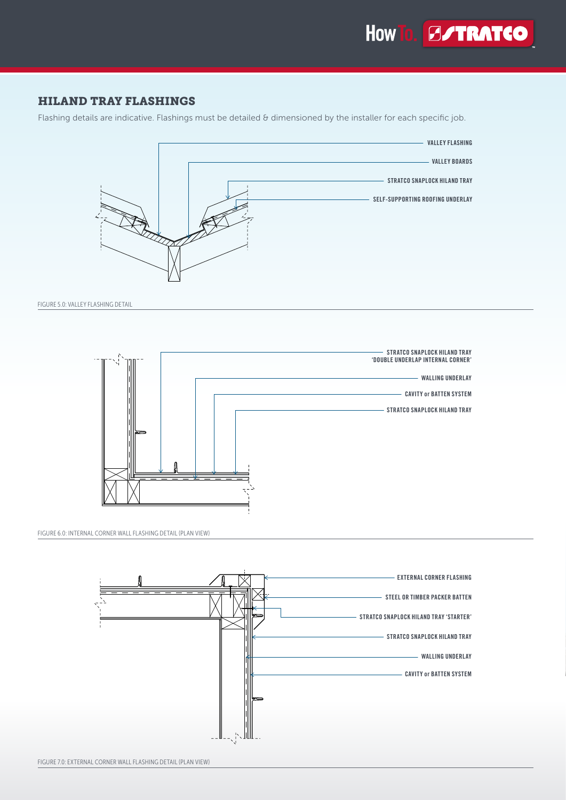

#### HILAND TRAY FLASHINGS

Flashing details are indicative. Flashings must be detailed  $\theta$  dimensioned by the installer for each specific job.



FIGURE 5.0: VALLEY FLASHING DETAIL



FIGURE 6.0: INTERNAL CORNER WALL FLASHING DETAIL (PLAN VIEW)